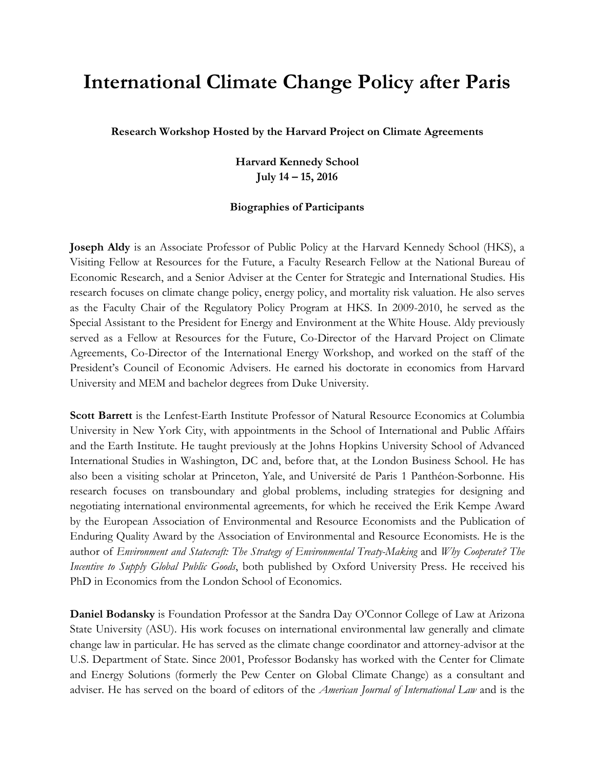## **International Climate Change Policy after Paris**

**Research Workshop Hosted by the Harvard Project on Climate Agreements**

**Harvard Kennedy School July 14 – 15, 2016**

## **Biographies of Participants**

**Joseph Aldy** is an Associate Professor of Public Policy at the Harvard Kennedy School (HKS), a Visiting Fellow at Resources for the Future, a Faculty Research Fellow at the National Bureau of Economic Research, and a Senior Adviser at the Center for Strategic and International Studies. His research focuses on climate change policy, energy policy, and mortality risk valuation. He also serves as the Faculty Chair of the Regulatory Policy Program at HKS. In 2009-2010, he served as the Special Assistant to the President for Energy and Environment at the White House. Aldy previously served as a Fellow at Resources for the Future, Co-Director of the Harvard Project on Climate Agreements, Co-Director of the International Energy Workshop, and worked on the staff of the President's Council of Economic Advisers. He earned his doctorate in economics from Harvard University and MEM and bachelor degrees from Duke University.

**Scott Barrett** is the Lenfest-Earth Institute Professor of Natural Resource Economics at Columbia University in New York City, with appointments in the School of International and Public Affairs and the Earth Institute. He taught previously at the Johns Hopkins University School of Advanced International Studies in Washington, DC and, before that, at the London Business School. He has also been a visiting scholar at Princeton, Yale, and Université de Paris 1 Panthéon-Sorbonne. His research focuses on transboundary and global problems, including strategies for designing and negotiating international environmental agreements, for which he received the Erik Kempe Award by the European Association of Environmental and Resource Economists and the Publication of Enduring Quality Award by the Association of Environmental and Resource Economists. He is the author of *Environment and Statecraft: The Strategy of Environmental Treaty-Making* and *Why Cooperate? The Incentive to Supply Global Public Goods*, both published by Oxford University Press. He received his PhD in Economics from the London School of Economics.

**Daniel Bodansky** is Foundation Professor at the Sandra Day O'Connor College of Law at Arizona State University (ASU). His work focuses on international environmental law generally and climate change law in particular. He has served as the climate change coordinator and attorney-advisor at the U.S. Department of State. Since 2001, Professor Bodansky has worked with the Center for Climate and Energy Solutions (formerly the Pew Center on Global Climate Change) as a consultant and adviser. He has served on the board of editors of the *American Journal of International Law* and is the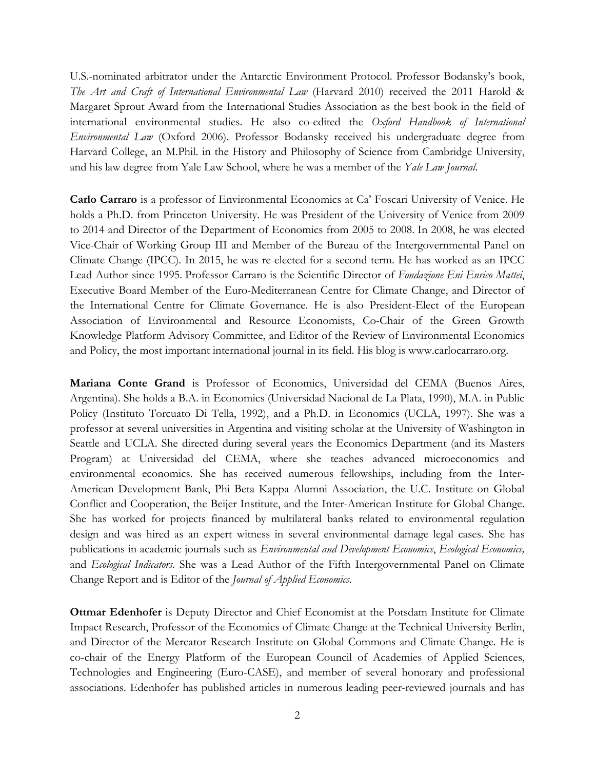U.S.-nominated arbitrator under the Antarctic Environment Protocol. Professor Bodansky's book, *The Art and Craft of International Environmental Law* (Harvard 2010) received the 2011 Harold & Margaret Sprout Award from the International Studies Association as the best book in the field of international environmental studies. He also co-edited the *Oxford Handbook of International Environmental Law* (Oxford 2006). Professor Bodansky received his undergraduate degree from Harvard College, an M.Phil. in the History and Philosophy of Science from Cambridge University, and his law degree from Yale Law School, where he was a member of the *Yale Law Journal*.

**Carlo Carraro** is a professor of Environmental Economics at Ca' Foscari University of Venice. He holds a Ph.D. from Princeton University. He was President of the University of Venice from 2009 to 2014 and Director of the Department of Economics from 2005 to 2008. In 2008, he was elected Vice-Chair of Working Group III and Member of the Bureau of the Intergovernmental Panel on Climate Change (IPCC). In 2015, he was re-elected for a second term. He has worked as an IPCC Lead Author since 1995. Professor Carraro is the Scientific Director of *Fondazione Eni Enrico Mattei*, Executive Board Member of the Euro-Mediterranean Centre for Climate Change, and Director of the International Centre for Climate Governance. He is also President-Elect of the European Association of Environmental and Resource Economists, Co-Chair of the Green Growth Knowledge Platform Advisory Committee, and Editor of the Review of Environmental Economics and Policy, the most important international journal in its field. His blog is www.carlocarraro.org.

**Mariana Conte Grand** is Professor of Economics, Universidad del CEMA (Buenos Aires, Argentina). She holds a B.A. in Economics (Universidad Nacional de La Plata, 1990), M.A. in Public Policy (Instituto Torcuato Di Tella, 1992), and a Ph.D. in Economics (UCLA, 1997). She was a professor at several universities in Argentina and visiting scholar at the University of Washington in Seattle and UCLA. She directed during several years the Economics Department (and its Masters Program) at Universidad del CEMA, where she teaches advanced microeconomics and environmental economics. She has received numerous fellowships, including from the Inter-American Development Bank, Phi Beta Kappa Alumni Association, the U.C. Institute on Global Conflict and Cooperation, the Beijer Institute, and the Inter-American Institute for Global Change. She has worked for projects financed by multilateral banks related to environmental regulation design and was hired as an expert witness in several environmental damage legal cases. She has publications in academic journals such as *Environmental and Development Economics*, *Ecological Economics,* and *Ecological Indicators*. She was a Lead Author of the Fifth Intergovernmental Panel on Climate Change Report and is Editor of the *Journal of Applied Economics*.

**Ottmar Edenhofer** is Deputy Director and Chief Economist at the Potsdam Institute for Climate Impact Research, Professor of the Economics of Climate Change at the Technical University Berlin, and Director of the Mercator Research Institute on Global Commons and Climate Change. He is co-chair of the Energy Platform of the European Council of Academies of Applied Sciences, Technologies and Engineering (Euro-CASE), and member of several honorary and professional associations. Edenhofer has published articles in numerous leading peer-reviewed journals and has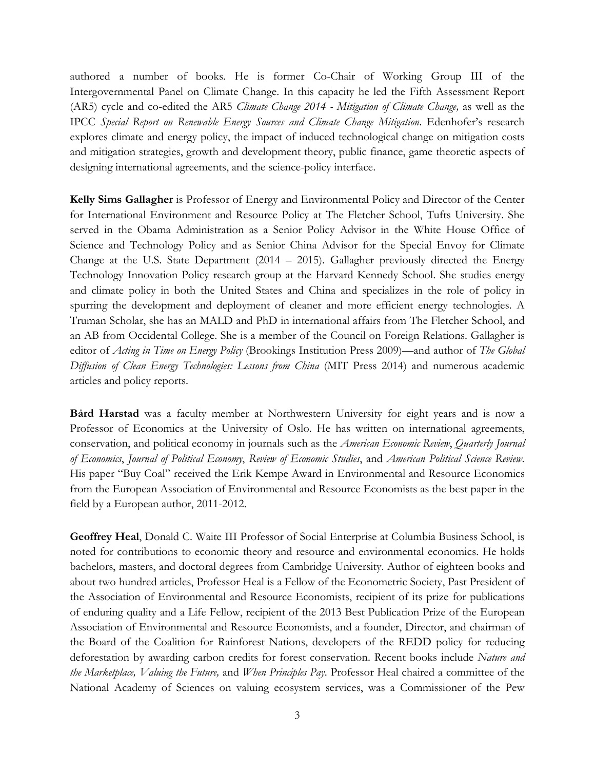authored a number of books. He is former Co-Chair of Working Group III of the Intergovernmental Panel on Climate Change. In this capacity he led the Fifth Assessment Report (AR5) cycle and co-edited the AR5 *Climate Change 2014 - Mitigation of Climate Change,* as well as the IPCC *Special Report on Renewable Energy Sources and Climate Change Mitigation*. Edenhofer's research explores climate and energy policy, the impact of induced technological change on mitigation costs and mitigation strategies, growth and development theory, public finance, game theoretic aspects of designing international agreements, and the science-policy interface.

**Kelly Sims Gallagher** is Professor of Energy and Environmental Policy and Director of the Center for International Environment and Resource Policy at The Fletcher School, Tufts University. She served in the Obama Administration as a Senior Policy Advisor in the White House Office of Science and Technology Policy and as Senior China Advisor for the Special Envoy for Climate Change at the U.S. State Department (2014 – 2015). Gallagher previously directed the Energy Technology Innovation Policy research group at the Harvard Kennedy School. She studies energy and climate policy in both the United States and China and specializes in the role of policy in spurring the development and deployment of cleaner and more efficient energy technologies. A Truman Scholar, she has an MALD and PhD in international affairs from The Fletcher School, and an AB from Occidental College. She is a member of the Council on Foreign Relations. Gallagher is editor of *Acting in Time on Energy Policy* (Brookings Institution Press 2009)—and author of *The Global Diffusion of Clean Energy Technologies: Lessons from China* (MIT Press 2014) and numerous academic articles and policy reports.

**Bård Harstad** was a faculty member at Northwestern University for eight years and is now a Professor of Economics at the University of Oslo. He has written on international agreements, conservation, and political economy in journals such as the *American Economic Review*, *Quarterly Journal of Economics*, *Journal of Political Economy*, *Review of Economic Studies*, and *American Political Science Review*. His paper "Buy Coal" received the Erik Kempe Award in Environmental and Resource Economics from the European Association of Environmental and Resource Economists as the best paper in the field by a European author, 2011-2012.

**Geoffrey Heal**, Donald C. Waite III Professor of Social Enterprise at Columbia Business School, is noted for contributions to economic theory and resource and environmental economics. He holds bachelors, masters, and doctoral degrees from Cambridge University. Author of eighteen books and about two hundred articles, Professor Heal is a Fellow of the Econometric Society, Past President of the Association of Environmental and Resource Economists, recipient of its prize for publications of enduring quality and a Life Fellow, recipient of the 2013 Best Publication Prize of the European Association of Environmental and Resource Economists, and a founder, Director, and chairman of the Board of the Coalition for Rainforest Nations, developers of the REDD policy for reducing deforestation by awarding carbon credits for forest conservation. Recent books include *Nature and the Marketplace, Valuing the Future,* and *When Principles Pay*. Professor Heal chaired a committee of the National Academy of Sciences on valuing ecosystem services, was a Commissioner of the Pew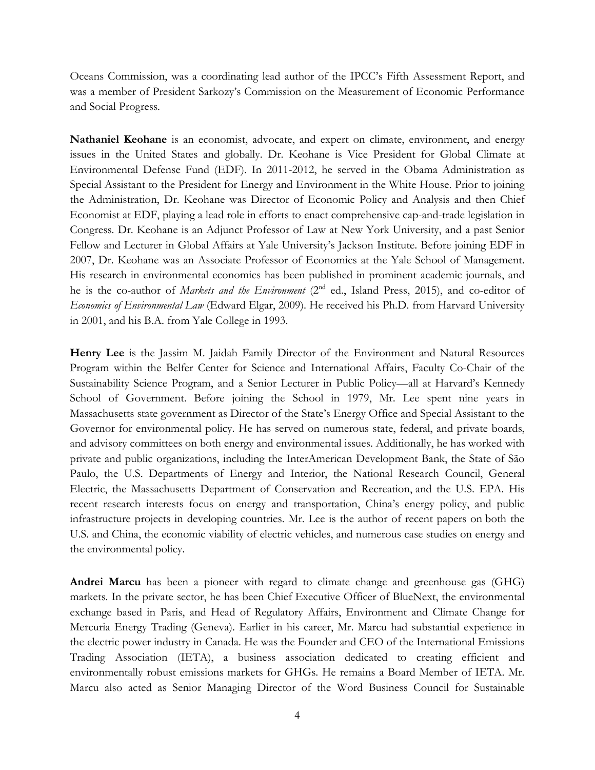Oceans Commission, was a coordinating lead author of the IPCC's Fifth Assessment Report, and was a member of President Sarkozy's Commission on the Measurement of Economic Performance and Social Progress*.*

**Nathaniel Keohane** is an economist, advocate, and expert on climate, environment, and energy issues in the United States and globally. Dr. Keohane is Vice President for Global Climate at Environmental Defense Fund (EDF). In 2011-2012, he served in the Obama Administration as Special Assistant to the President for Energy and Environment in the White House. Prior to joining the Administration, Dr. Keohane was Director of Economic Policy and Analysis and then Chief Economist at EDF, playing a lead role in efforts to enact comprehensive cap-and-trade legislation in Congress. Dr. Keohane is an Adjunct Professor of Law at New York University, and a past Senior Fellow and Lecturer in Global Affairs at Yale University's Jackson Institute. Before joining EDF in 2007, Dr. Keohane was an Associate Professor of Economics at the Yale School of Management. His research in environmental economics has been published in prominent academic journals, and he is the co-author of *Markets and the Environment* (2nd ed., Island Press, 2015), and co-editor of *Economics of Environmental Law* (Edward Elgar, 2009). He received his Ph.D. from Harvard University in 2001, and his B.A. from Yale College in 1993.

**Henry Lee** is the Jassim M. Jaidah Family Director of the Environment and Natural Resources Program within the Belfer Center for Science and International Affairs, Faculty Co-Chair of the Sustainability Science Program, and a Senior Lecturer in Public Policy—all at Harvard's Kennedy School of Government. Before joining the School in 1979, Mr. Lee spent nine years in Massachusetts state government as Director of the State's Energy Office and Special Assistant to the Governor for environmental policy. He has served on numerous state, federal, and private boards, and advisory committees on both energy and environmental issues. Additionally, he has worked with private and public organizations, including the InterAmerican Development Bank, the State of São Paulo, the U.S. Departments of Energy and Interior, the National Research Council, General Electric, the Massachusetts Department of Conservation and Recreation, and the U.S. EPA. His recent research interests focus on energy and transportation, China's energy policy, and public infrastructure projects in developing countries. Mr. Lee is the author of recent papers on both the U.S. and China, the economic viability of electric vehicles, and numerous case studies on energy and the environmental policy.

**Andrei Marcu** has been a pioneer with regard to climate change and greenhouse gas (GHG) markets. In the private sector, he has been Chief Executive Officer of BlueNext, the environmental exchange based in Paris, and Head of Regulatory Affairs, Environment and Climate Change for Mercuria Energy Trading (Geneva). Earlier in his career, Mr. Marcu had substantial experience in the electric power industry in Canada. He was the Founder and CEO of the International Emissions Trading Association (IETA), a business association dedicated to creating efficient and environmentally robust emissions markets for GHGs. He remains a Board Member of IETA. Mr. Marcu also acted as Senior Managing Director of the Word Business Council for Sustainable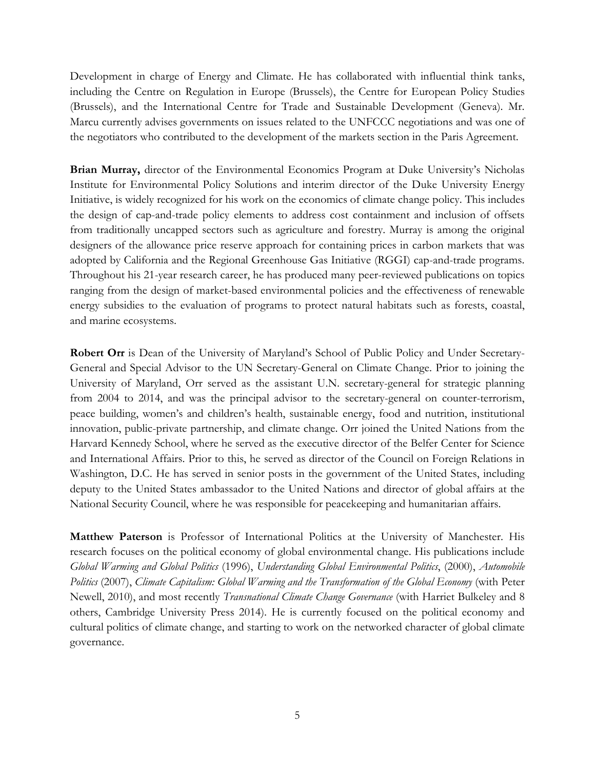Development in charge of Energy and Climate. He has collaborated with influential think tanks, including the Centre on Regulation in Europe (Brussels), the Centre for European Policy Studies (Brussels), and the International Centre for Trade and Sustainable Development (Geneva). Mr. Marcu currently advises governments on issues related to the UNFCCC negotiations and was one of the negotiators who contributed to the development of the markets section in the Paris Agreement.

**Brian Murray,** director of the Environmental Economics Program at Duke University's Nicholas Institute for Environmental Policy Solutions and interim director of the Duke University Energy Initiative, is widely recognized for his work on the economics of climate change policy. This includes the design of cap-and-trade policy elements to address cost containment and inclusion of offsets from traditionally uncapped sectors such as agriculture and forestry. Murray is among the original designers of the allowance price reserve approach for containing prices in carbon markets that was adopted by California and the Regional Greenhouse Gas Initiative (RGGI) cap-and-trade programs. Throughout his 21-year research career, he has produced many peer-reviewed publications on topics ranging from the design of market-based environmental policies and the effectiveness of renewable energy subsidies to the evaluation of programs to protect natural habitats such as forests, coastal, and marine ecosystems.

**Robert Orr** is Dean of the University of Maryland's School of Public Policy and Under Secretary-General and Special Advisor to the UN Secretary-General on Climate Change. Prior to joining the University of Maryland, Orr served as the assistant U.N. secretary-general for strategic planning from 2004 to 2014, and was the principal advisor to the secretary-general on counter-terrorism, peace building, women's and children's health, sustainable energy, food and nutrition, institutional innovation, public-private partnership, and climate change. Orr joined the United Nations from the Harvard Kennedy School, where he served as the executive director of the Belfer Center for Science and International Affairs. Prior to this, he served as director of the Council on Foreign Relations in Washington, D.C. He has served in senior posts in the government of the United States, including deputy to the United States ambassador to the United Nations and director of global affairs at the National Security Council, where he was responsible for peacekeeping and humanitarian affairs.

**Matthew Paterson** is Professor of International Politics at the University of Manchester. His research focuses on the political economy of global environmental change. His publications include *Global Warming and Global Politics* (1996), *Understanding Global Environmental Politics*, (2000), *Automobile Politics* (2007), *Climate Capitalism: Global Warming and the Transformation of the Global Economy* (with Peter Newell, 2010), and most recently *Transnational Climate Change Governance* (with Harriet Bulkeley and 8 others, Cambridge University Press 2014). He is currently focused on the political economy and cultural politics of climate change, and starting to work on the networked character of global climate governance.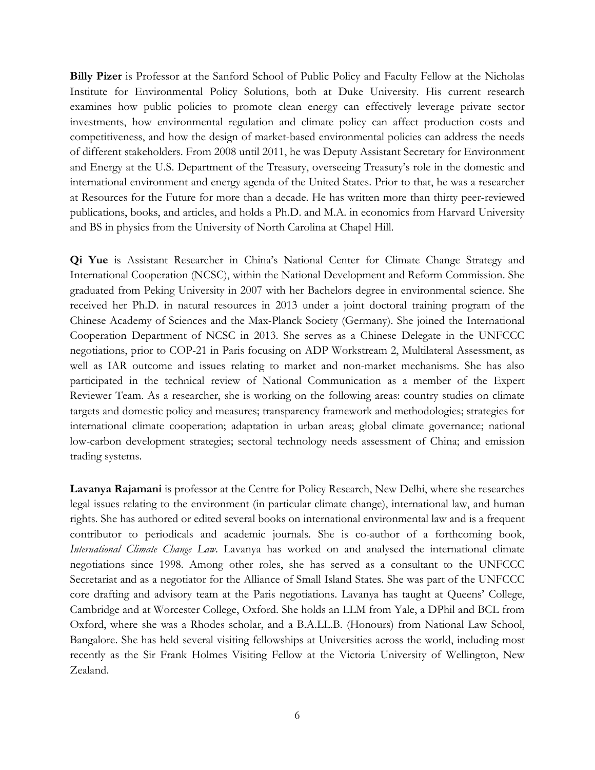**Billy Pizer** is Professor at the Sanford School of Public Policy and Faculty Fellow at the Nicholas Institute for Environmental Policy Solutions, both at Duke University. His current research examines how public policies to promote clean energy can effectively leverage private sector investments, how environmental regulation and climate policy can affect production costs and competitiveness, and how the design of market-based environmental policies can address the needs of different stakeholders. From 2008 until 2011, he was Deputy Assistant Secretary for Environment and Energy at the U.S. Department of the Treasury, overseeing Treasury's role in the domestic and international environment and energy agenda of the United States. Prior to that, he was a researcher at Resources for the Future for more than a decade. He has written more than thirty peer-reviewed publications, books, and articles, and holds a Ph.D. and M.A. in economics from Harvard University and BS in physics from the University of North Carolina at Chapel Hill.

**Qi Yue** is Assistant Researcher in China's National Center for Climate Change Strategy and International Cooperation (NCSC), within the National Development and Reform Commission. She graduated from Peking University in 2007 with her Bachelors degree in environmental science. She received her Ph.D. in natural resources in 2013 under a joint doctoral training program of the Chinese Academy of Sciences and the Max-Planck Society (Germany). She joined the International Cooperation Department of NCSC in 2013. She serves as a Chinese Delegate in the UNFCCC negotiations, prior to COP-21 in Paris focusing on ADP Workstream 2, Multilateral Assessment, as well as IAR outcome and issues relating to market and non-market mechanisms. She has also participated in the technical review of National Communication as a member of the Expert Reviewer Team. As a researcher, she is working on the following areas: country studies on climate targets and domestic policy and measures; transparency framework and methodologies; strategies for international climate cooperation; adaptation in urban areas; global climate governance; national low-carbon development strategies; sectoral technology needs assessment of China; and emission trading systems.

**Lavanya Rajamani** is professor at the Centre for Policy Research, New Delhi, where she researches legal issues relating to the environment (in particular climate change), international law, and human rights. She has authored or edited several books on international environmental law and is a frequent contributor to periodicals and academic journals. She is co-author of a forthcoming book, *International Climate Change Law*. Lavanya has worked on and analysed the international climate negotiations since 1998. Among other roles, she has served as a consultant to the UNFCCC Secretariat and as a negotiator for the Alliance of Small Island States. She was part of the UNFCCC core drafting and advisory team at the Paris negotiations. Lavanya has taught at Queens' College, Cambridge and at Worcester College, Oxford. She holds an LLM from Yale, a DPhil and BCL from Oxford, where she was a Rhodes scholar, and a B.A.LL.B. (Honours) from National Law School, Bangalore. She has held several visiting fellowships at Universities across the world, including most recently as the Sir Frank Holmes Visiting Fellow at the Victoria University of Wellington, New Zealand.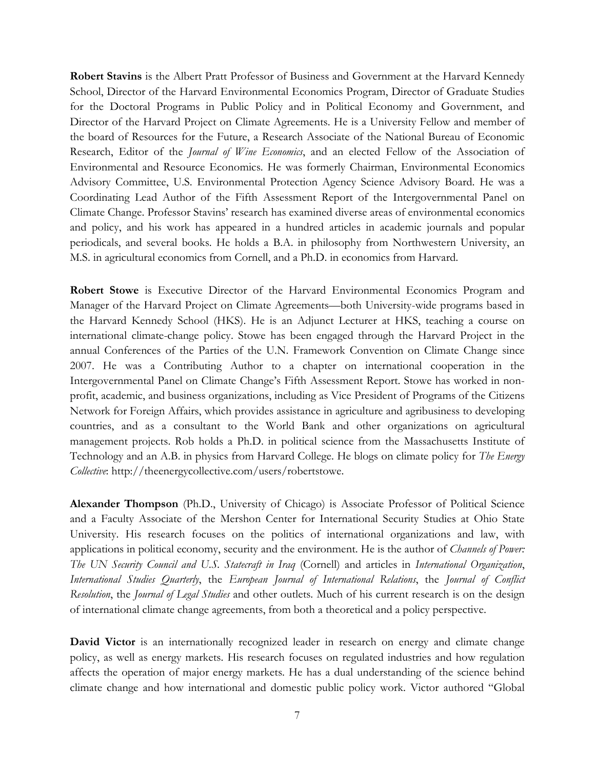**Robert Stavins** is the Albert Pratt Professor of Business and Government at the Harvard Kennedy School, Director of the Harvard Environmental Economics Program, Director of Graduate Studies for the Doctoral Programs in Public Policy and in Political Economy and Government, and Director of the Harvard Project on Climate Agreements. He is a University Fellow and member of the board of Resources for the Future, a Research Associate of the National Bureau of Economic Research, Editor of the *Journal of Wine Economics*, and an elected Fellow of the Association of Environmental and Resource Economics. He was formerly Chairman, Environmental Economics Advisory Committee, U.S. Environmental Protection Agency Science Advisory Board. He was a Coordinating Lead Author of the Fifth Assessment Report of the Intergovernmental Panel on Climate Change. Professor Stavins' research has examined diverse areas of environmental economics and policy, and his work has appeared in a hundred articles in academic journals and popular periodicals, and several books. He holds a B.A. in philosophy from Northwestern University, an M.S. in agricultural economics from Cornell, and a Ph.D. in economics from Harvard.

**Robert Stowe** is Executive Director of the Harvard Environmental Economics Program and Manager of the Harvard Project on Climate Agreements—both University-wide programs based in the Harvard Kennedy School (HKS). He is an Adjunct Lecturer at HKS, teaching a course on international climate-change policy. Stowe has been engaged through the Harvard Project in the annual Conferences of the Parties of the U.N. Framework Convention on Climate Change since 2007. He was a Contributing Author to a chapter on international cooperation in the Intergovernmental Panel on Climate Change's Fifth Assessment Report. Stowe has worked in nonprofit, academic, and business organizations, including as Vice President of Programs of the Citizens Network for Foreign Affairs, which provides assistance in agriculture and agribusiness to developing countries, and as a consultant to the World Bank and other organizations on agricultural management projects. Rob holds a Ph.D. in political science from the Massachusetts Institute of Technology and an A.B. in physics from Harvard College. He blogs on climate policy for *The Energy Collective*: http://theenergycollective.com/users/robertstowe.

**Alexander Thompson** (Ph.D., University of Chicago) is Associate Professor of Political Science and a Faculty Associate of the Mershon Center for International Security Studies at Ohio State University. His research focuses on the politics of international organizations and law, with applications in political economy, security and the environment. He is the author of *Channels of Power: The UN Security Council and U.S. Statecraft in Iraq* (Cornell) and articles in *International Organization*, *International Studies Quarterly*, the *European Journal of International Relations*, the *Journal of Conflict Resolution*, the *Journal of Legal Studies* and other outlets. Much of his current research is on the design of international climate change agreements, from both a theoretical and a policy perspective.

David Victor is an internationally recognized leader in research on energy and climate change policy, as well as energy markets. His research focuses on regulated industries and how regulation affects the operation of major energy markets. He has a dual understanding of the science behind climate change and how international and domestic public policy work. Victor authored "Global